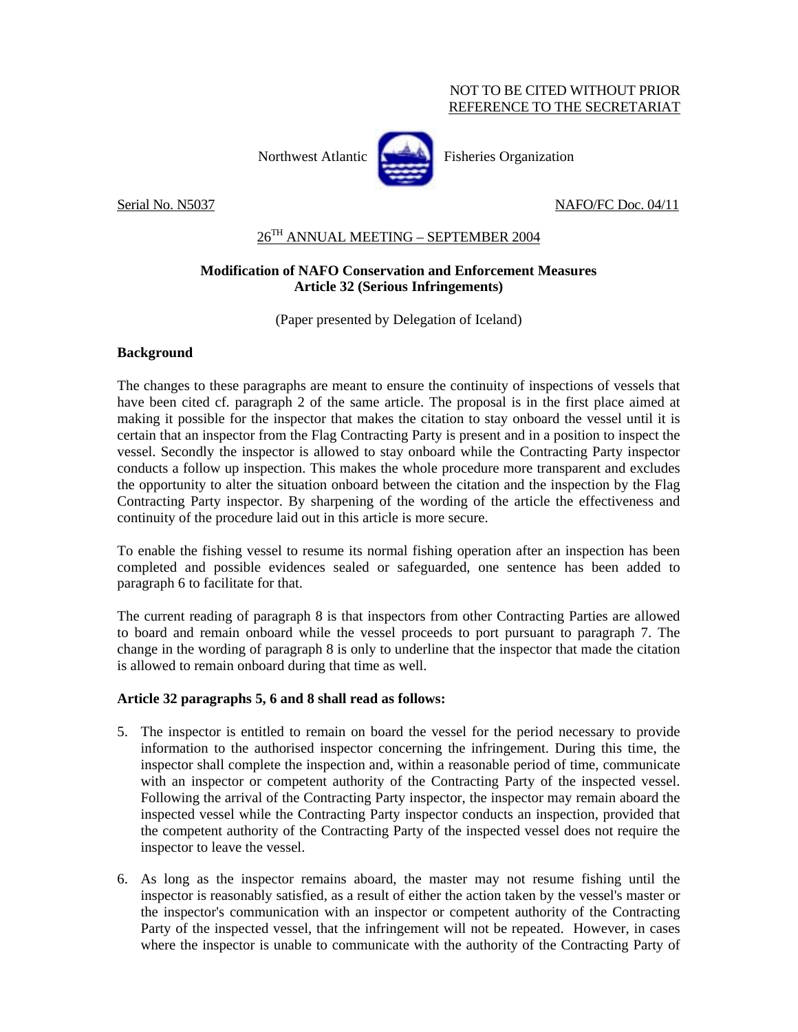#### NOT TO BE CITED WITHOUT PRIOR REFERENCE TO THE SECRETARIAT

Northwest Atlantic **Fisheries** Organization



Serial No. N5037 NAFO/FC Doc. 04/11

# $26^{TH}$  ANNUAL MEETING - SEPTEMBER 2004

### **Modification of NAFO Conservation and Enforcement Measures Article 32 (Serious Infringements)**

(Paper presented by Delegation of Iceland)

## **Background**

The changes to these paragraphs are meant to ensure the continuity of inspections of vessels that have been cited cf. paragraph 2 of the same article. The proposal is in the first place aimed at making it possible for the inspector that makes the citation to stay onboard the vessel until it is certain that an inspector from the Flag Contracting Party is present and in a position to inspect the vessel. Secondly the inspector is allowed to stay onboard while the Contracting Party inspector conducts a follow up inspection. This makes the whole procedure more transparent and excludes the opportunity to alter the situation onboard between the citation and the inspection by the Flag Contracting Party inspector. By sharpening of the wording of the article the effectiveness and continuity of the procedure laid out in this article is more secure.

To enable the fishing vessel to resume its normal fishing operation after an inspection has been completed and possible evidences sealed or safeguarded, one sentence has been added to paragraph 6 to facilitate for that.

The current reading of paragraph 8 is that inspectors from other Contracting Parties are allowed to board and remain onboard while the vessel proceeds to port pursuant to paragraph 7. The change in the wording of paragraph 8 is only to underline that the inspector that made the citation is allowed to remain onboard during that time as well.

### **Article 32 paragraphs 5, 6 and 8 shall read as follows:**

- 5. The inspector is entitled to remain on board the vessel for the period necessary to provide information to the authorised inspector concerning the infringement. During this time, the inspector shall complete the inspection and, within a reasonable period of time, communicate with an inspector or competent authority of the Contracting Party of the inspected vessel. Following the arrival of the Contracting Party inspector, the inspector may remain aboard the inspected vessel while the Contracting Party inspector conducts an inspection, provided that the competent authority of the Contracting Party of the inspected vessel does not require the inspector to leave the vessel.
- 6. As long as the inspector remains aboard, the master may not resume fishing until the inspector is reasonably satisfied, as a result of either the action taken by the vessel's master or the inspector's communication with an inspector or competent authority of the Contracting Party of the inspected vessel, that the infringement will not be repeated. However, in cases where the inspector is unable to communicate with the authority of the Contracting Party of